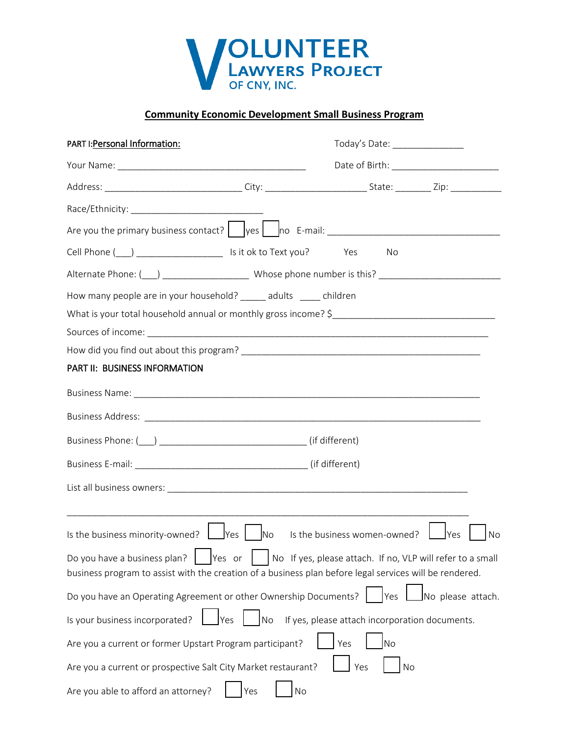

## **Community Economic Development Small Business Program**

| PART I: Personal Information:                                                                                                                                                                                                                        |     | Today's Date: _________________ |                              |                                                            |  |  |
|------------------------------------------------------------------------------------------------------------------------------------------------------------------------------------------------------------------------------------------------------|-----|---------------------------------|------------------------------|------------------------------------------------------------|--|--|
|                                                                                                                                                                                                                                                      |     |                                 |                              |                                                            |  |  |
|                                                                                                                                                                                                                                                      |     |                                 |                              |                                                            |  |  |
|                                                                                                                                                                                                                                                      |     |                                 |                              |                                                            |  |  |
| Are you the primary business contact? Ves no E-mail: ____________________________                                                                                                                                                                    |     |                                 |                              |                                                            |  |  |
|                                                                                                                                                                                                                                                      |     |                                 | No                           |                                                            |  |  |
|                                                                                                                                                                                                                                                      |     |                                 |                              |                                                            |  |  |
| How many people are in your household? ______ adults _____ children                                                                                                                                                                                  |     |                                 |                              |                                                            |  |  |
|                                                                                                                                                                                                                                                      |     |                                 |                              |                                                            |  |  |
|                                                                                                                                                                                                                                                      |     |                                 |                              |                                                            |  |  |
|                                                                                                                                                                                                                                                      |     |                                 |                              |                                                            |  |  |
| PART II: BUSINESS INFORMATION                                                                                                                                                                                                                        |     |                                 |                              |                                                            |  |  |
|                                                                                                                                                                                                                                                      |     |                                 |                              |                                                            |  |  |
|                                                                                                                                                                                                                                                      |     |                                 |                              |                                                            |  |  |
|                                                                                                                                                                                                                                                      |     |                                 |                              |                                                            |  |  |
|                                                                                                                                                                                                                                                      |     |                                 |                              |                                                            |  |  |
|                                                                                                                                                                                                                                                      |     |                                 |                              |                                                            |  |  |
|                                                                                                                                                                                                                                                      |     |                                 |                              |                                                            |  |  |
| Is the business minority-owned? $\Box$ Yes $\Box$ No                                                                                                                                                                                                 |     |                                 | Is the business women-owned? | <b>I</b> Yes<br>No                                         |  |  |
| the contract of the contract of the contract of the contract of the contract of the contract of<br>Do you have a business plan?<br>Yes or<br>business program to assist with the creation of a business plan before legal services will be rendered. |     |                                 |                              | No If yes, please attach. If no, VLP will refer to a small |  |  |
| Do you have an Operating Agreement or other Ownership Documents?                                                                                                                                                                                     |     |                                 | Yes                          | No please attach.                                          |  |  |
| Is your business incorporated?<br>Yes                                                                                                                                                                                                                | No  |                                 |                              | If yes, please attach incorporation documents.             |  |  |
| Are you a current or former Upstart Program participant?                                                                                                                                                                                             |     | Yes                             | No                           |                                                            |  |  |
| Are you a current or prospective Salt City Market restaurant?                                                                                                                                                                                        |     |                                 | Yes                          | No                                                         |  |  |
| Are you able to afford an attorney?                                                                                                                                                                                                                  | Yes | No                              |                              |                                                            |  |  |